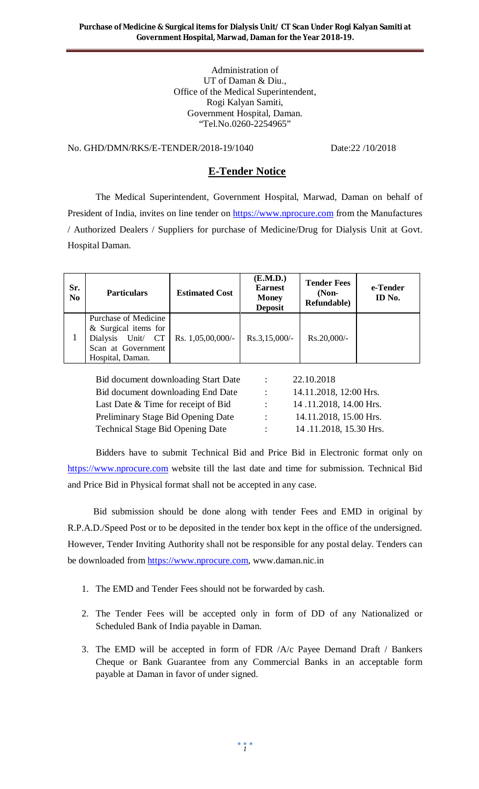Administration of UT of Daman & Diu., Office of the Medical Superintendent, Rogi Kalyan Samiti, Government Hospital, Daman. "Tel.No.0260-2254965"

# No. GHD/DMN/RKS/E-TENDER/2018-19/1040 Date:22 /10/2018

## **E-Tender Notice**

The Medical Superintendent, Government Hospital, Marwad, Daman on behalf of President of India, invites on line tender on https://www.nprocure.com from the Manufactures / Authorized Dealers / Suppliers for purchase of Medicine/Drug for Dialysis Unit at Govt. Hospital Daman.

| Sr.<br>N <sub>0</sub> | <b>Particulars</b>                                                                                            | <b>Estimated Cost</b> | (E.M.D.)<br><b>Earnest</b><br><b>Money</b><br><b>Deposit</b> | <b>Tender Fees</b><br>$(Non-$<br>Refundable) | e-Tender<br>ID No. |
|-----------------------|---------------------------------------------------------------------------------------------------------------|-----------------------|--------------------------------------------------------------|----------------------------------------------|--------------------|
|                       | Purchase of Medicine<br>$&$ Surgical items for<br>Dialysis Unit/ CT<br>Scan at Government<br>Hospital, Daman. | Rs. 1,05,00,000/-     | $Rs.3,15,000/-$                                              | Rs.20,000/-                                  |                    |

| Bid document downloading Start Date     | $\ddot{\phantom{a}}$      | 22.10.2018             |
|-----------------------------------------|---------------------------|------------------------|
| Bid document downloading End Date       | $\mathbb{R}^{\mathbb{Z}}$ | 14.11.2018, 12:00 Hrs. |
| Last Date & Time for receipt of Bid     | $\mathcal{L}$             | 14.11.2018, 14.00 Hrs. |
| Preliminary Stage Bid Opening Date      | $\sim$                    | 14.11.2018, 15.00 Hrs. |
| <b>Technical Stage Bid Opening Date</b> | <b>Contract Contract</b>  | 14.11.2018, 15.30 Hrs. |

Bidders have to submit Technical Bid and Price Bid in Electronic format only on https://www.nprocure.com website till the last date and time for submission. Technical Bid and Price Bid in Physical format shall not be accepted in any case.

 Bid submission should be done along with tender Fees and EMD in original by R.P.A.D./Speed Post or to be deposited in the tender box kept in the office of the undersigned. However, Tender Inviting Authority shall not be responsible for any postal delay. Tenders can be downloaded from https://www.nprocure.com, www.daman.nic.in

- 1. The EMD and Tender Fees should not be forwarded by cash.
- 2. The Tender Fees will be accepted only in form of DD of any Nationalized or Scheduled Bank of India payable in Daman.
- 3. The EMD will be accepted in form of FDR /A/c Payee Demand Draft / Bankers Cheque or Bank Guarantee from any Commercial Banks in an acceptable form payable at Daman in favor of under signed.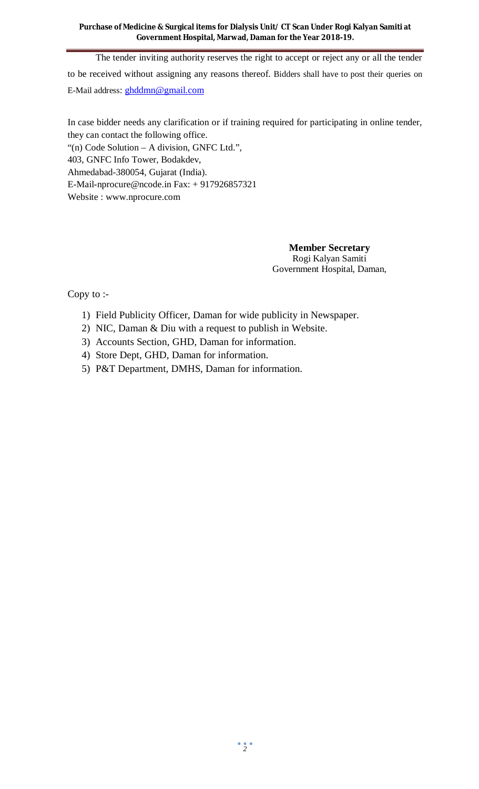The tender inviting authority reserves the right to accept or reject any or all the tender to be received without assigning any reasons thereof. Bidders shall have to post their queries on E-Mail address: ghddmn@gmail.com

In case bidder needs any clarification or if training required for participating in online tender, they can contact the following office.

"(n) Code Solution – A division, GNFC Ltd.", 403, GNFC Info Tower, Bodakdev, Ahmedabad-380054, Gujarat (India). E-Mail-nprocure@ncode.in Fax: + 917926857321 Website : www.nprocure.com

> **Member Secretary** Rogi Kalyan Samiti Government Hospital, Daman,

Copy to :-

- 1) Field Publicity Officer, Daman for wide publicity in Newspaper.
- 2) NIC, Daman & Diu with a request to publish in Website.
- 3) Accounts Section, GHD, Daman for information.
- 4) Store Dept, GHD, Daman for information.
- 5) P&T Department, DMHS, Daman for information.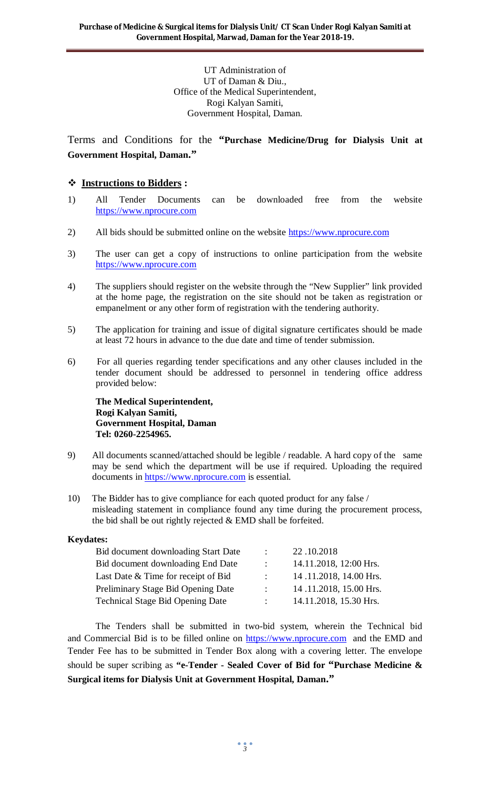UT Administration of UT of Daman & Diu., Office of the Medical Superintendent, Rogi Kalyan Samiti, Government Hospital, Daman.

Terms and Conditions for the **"Purchase Medicine/Drug for Dialysis Unit at Government Hospital, Daman."**

## **Instructions to Bidders :**

- 1) All Tender Documents can be downloaded free from the website https://www.nprocure.com
- 2) All bids should be submitted online on the website https://www.nprocure.com
- 3) The user can get a copy of instructions to online participation from the website https://www.nprocure.com
- 4) The suppliers should register on the website through the "New Supplier" link provided at the home page, the registration on the site should not be taken as registration or empanelment or any other form of registration with the tendering authority.
- 5) The application for training and issue of digital signature certificates should be made at least 72 hours in advance to the due date and time of tender submission.
- 6) For all queries regarding tender specifications and any other clauses included in the tender document should be addressed to personnel in tendering office address provided below:

**The Medical Superintendent, Rogi Kalyan Samiti, Government Hospital, Daman Tel: 0260-2254965.**

- 9) All documents scanned/attached should be legible / readable. A hard copy of the same may be send which the department will be use if required. Uploading the required documents in https://www.nprocure.com is essential.
- 10) The Bidder has to give compliance for each quoted product for any false / misleading statement in compliance found any time during the procurement process, the bid shall be out rightly rejected & EMD shall be forfeited.

## **Keydates:**

| Bid document downloading Start Date     | $\ddot{\phantom{a}}$ | 22.10.2018             |
|-----------------------------------------|----------------------|------------------------|
| Bid document downloading End Date       | $\mathcal{L}$        | 14.11.2018, 12:00 Hrs. |
| Last Date & Time for receipt of Bid     |                      | 14.11.2018, 14.00 Hrs. |
| Preliminary Stage Bid Opening Date      |                      | 14.11.2018, 15.00 Hrs. |
| <b>Technical Stage Bid Opening Date</b> | $\mathcal{L}$        | 14.11.2018, 15.30 Hrs. |

 The Tenders shall be submitted in two-bid system, wherein the Technical bid and Commercial Bid is to be filled online on https://www.nprocure.com and the EMD and Tender Fee has to be submitted in Tender Box along with a covering letter. The envelope should be super scribing as **"e-Tender - Sealed Cover of Bid for "Purchase Medicine & Surgical items for Dialysis Unit at Government Hospital, Daman."**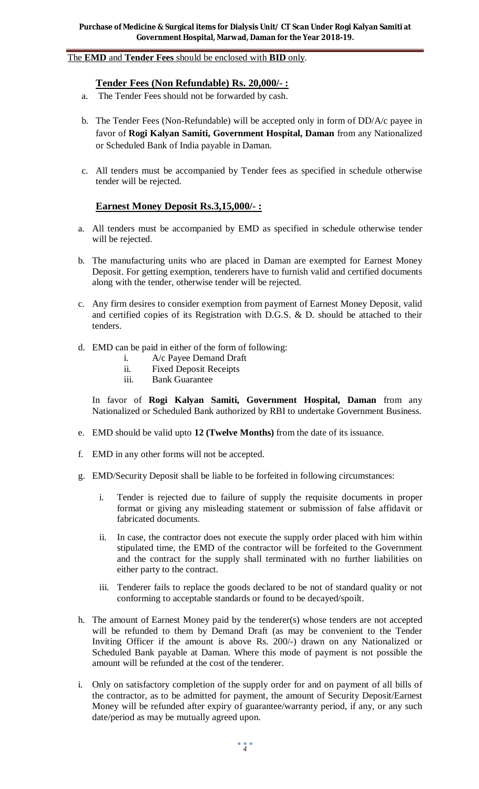#### The **EMD** and **Tender Fees** should be enclosed with **BID** only.

#### **Tender Fees (Non Refundable) Rs. 20,000/- :**

- a. The Tender Fees should not be forwarded by cash.
- b. The Tender Fees (Non-Refundable) will be accepted only in form of DD/A/c payee in favor of **Rogi Kalyan Samiti, Government Hospital, Daman** from any Nationalized or Scheduled Bank of India payable in Daman.
- c. All tenders must be accompanied by Tender fees as specified in schedule otherwise tender will be rejected.

## **Earnest Money Deposit Rs.3,15,000/- :**

- a. All tenders must be accompanied by EMD as specified in schedule otherwise tender will be rejected.
- b. The manufacturing units who are placed in Daman are exempted for Earnest Money Deposit. For getting exemption, tenderers have to furnish valid and certified documents along with the tender, otherwise tender will be rejected.
- c. Any firm desires to consider exemption from payment of Earnest Money Deposit, valid and certified copies of its Registration with D.G.S. & D. should be attached to their tenders.
- d. EMD can be paid in either of the form of following:
	- i. A/c Payee Demand Draft
	- ii. Fixed Deposit Receipts
	- iii. Bank Guarantee

In favor of **Rogi Kalyan Samiti, Government Hospital, Daman** from any Nationalized or Scheduled Bank authorized by RBI to undertake Government Business.

- e. EMD should be valid upto **12 (Twelve Months)** from the date of its issuance.
- f. EMD in any other forms will not be accepted.
- g. EMD/Security Deposit shall be liable to be forfeited in following circumstances:
	- i. Tender is rejected due to failure of supply the requisite documents in proper format or giving any misleading statement or submission of false affidavit or fabricated documents.
	- ii. In case, the contractor does not execute the supply order placed with him within stipulated time, the EMD of the contractor will be forfeited to the Government and the contract for the supply shall terminated with no further liabilities on either party to the contract.
	- iii. Tenderer fails to replace the goods declared to be not of standard quality or not conforming to acceptable standards or found to be decayed/spoilt.
- h. The amount of Earnest Money paid by the tenderer(s) whose tenders are not accepted will be refunded to them by Demand Draft (as may be convenient to the Tender Inviting Officer if the amount is above Rs. 200/-) drawn on any Nationalized or Scheduled Bank payable at Daman. Where this mode of payment is not possible the amount will be refunded at the cost of the tenderer.
- i. Only on satisfactory completion of the supply order for and on payment of all bills of the contractor, as to be admitted for payment, the amount of Security Deposit/Earnest Money will be refunded after expiry of guarantee/warranty period, if any, or any such date/period as may be mutually agreed upon.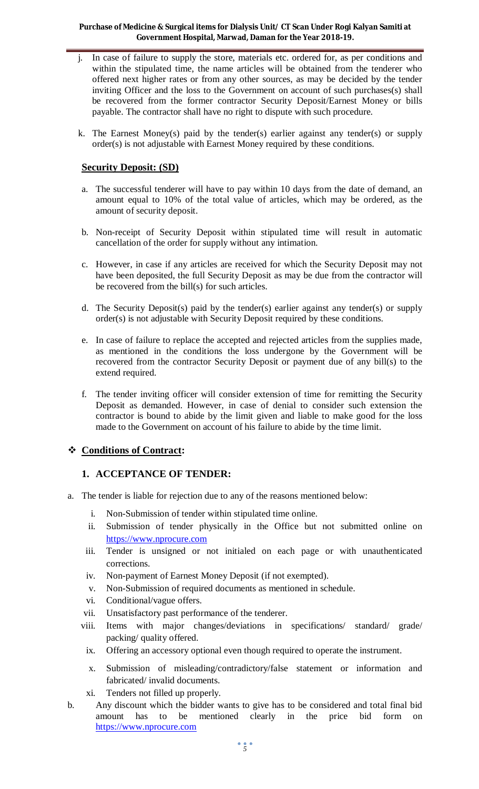- j. In case of failure to supply the store, materials etc. ordered for, as per conditions and within the stipulated time, the name articles will be obtained from the tenderer who offered next higher rates or from any other sources, as may be decided by the tender inviting Officer and the loss to the Government on account of such purchases(s) shall be recovered from the former contractor Security Deposit/Earnest Money or bills payable. The contractor shall have no right to dispute with such procedure.
- k. The Earnest Money(s) paid by the tender(s) earlier against any tender(s) or supply order(s) is not adjustable with Earnest Money required by these conditions.

#### **Security Deposit: (SD)**

- a. The successful tenderer will have to pay within 10 days from the date of demand, an amount equal to 10% of the total value of articles, which may be ordered, as the amount of security deposit.
- b. Non-receipt of Security Deposit within stipulated time will result in automatic cancellation of the order for supply without any intimation.
- c. However, in case if any articles are received for which the Security Deposit may not have been deposited, the full Security Deposit as may be due from the contractor will be recovered from the bill(s) for such articles.
- d. The Security Deposit(s) paid by the tender(s) earlier against any tender(s) or supply order(s) is not adjustable with Security Deposit required by these conditions.
- e. In case of failure to replace the accepted and rejected articles from the supplies made, as mentioned in the conditions the loss undergone by the Government will be recovered from the contractor Security Deposit or payment due of any bill(s) to the extend required.
- f. The tender inviting officer will consider extension of time for remitting the Security Deposit as demanded. However, in case of denial to consider such extension the contractor is bound to abide by the limit given and liable to make good for the loss made to the Government on account of his failure to abide by the time limit.

## **Conditions of Contract:**

#### **1. ACCEPTANCE OF TENDER:**

- a. The tender is liable for rejection due to any of the reasons mentioned below:
	- i. Non-Submission of tender within stipulated time online.
	- ii. Submission of tender physically in the Office but not submitted online on https://www.nprocure.com
	- iii. Tender is unsigned or not initialed on each page or with unauthenticated corrections.
	- iv. Non-payment of Earnest Money Deposit (if not exempted).
	- v. Non-Submission of required documents as mentioned in schedule.
	- vi. Conditional/vague offers.
	- vii. Unsatisfactory past performance of the tenderer.
	- viii. Items with major changes/deviations in specifications/ standard/ grade/ packing/ quality offered.
	- ix. Offering an accessory optional even though required to operate the instrument.
	- x. Submission of misleading/contradictory/false statement or information and fabricated/ invalid documents.
	- xi. Tenders not filled up properly.
- b. Any discount which the bidder wants to give has to be considered and total final bid amount has to be mentioned clearly in the price bid form on https://www.nprocure.com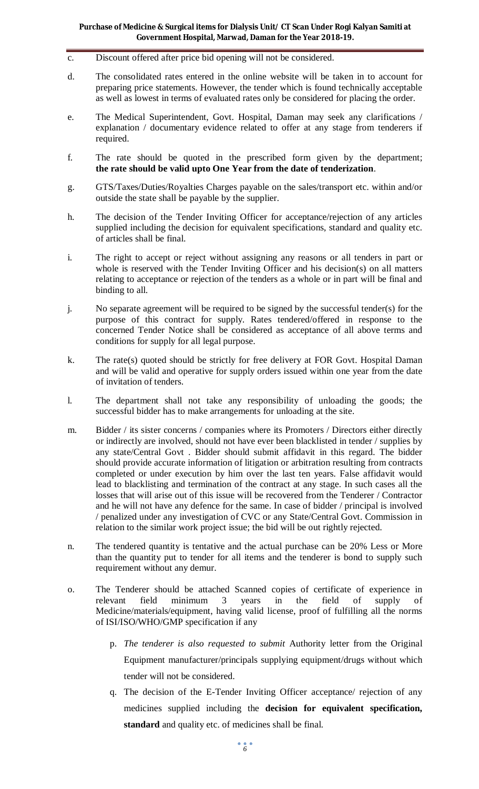- c. Discount offered after price bid opening will not be considered.
- d. The consolidated rates entered in the online website will be taken in to account for preparing price statements. However, the tender which is found technically acceptable as well as lowest in terms of evaluated rates only be considered for placing the order.
- e. The Medical Superintendent, Govt. Hospital, Daman may seek any clarifications / explanation / documentary evidence related to offer at any stage from tenderers if required.
- f. The rate should be quoted in the prescribed form given by the department; **the rate should be valid upto One Year from the date of tenderization**.
- g. GTS/Taxes/Duties/Royalties Charges payable on the sales/transport etc. within and/or outside the state shall be payable by the supplier.
- h. The decision of the Tender Inviting Officer for acceptance/rejection of any articles supplied including the decision for equivalent specifications, standard and quality etc. of articles shall be final.
- i. The right to accept or reject without assigning any reasons or all tenders in part or whole is reserved with the Tender Inviting Officer and his decision(s) on all matters relating to acceptance or rejection of the tenders as a whole or in part will be final and binding to all.
- j. No separate agreement will be required to be signed by the successful tender(s) for the purpose of this contract for supply. Rates tendered/offered in response to the concerned Tender Notice shall be considered as acceptance of all above terms and conditions for supply for all legal purpose.
- k. The rate(s) quoted should be strictly for free delivery at FOR Govt. Hospital Daman and will be valid and operative for supply orders issued within one year from the date of invitation of tenders.
- l. The department shall not take any responsibility of unloading the goods; the successful bidder has to make arrangements for unloading at the site.
- m. Bidder / its sister concerns / companies where its Promoters / Directors either directly or indirectly are involved, should not have ever been blacklisted in tender / supplies by any state/Central Govt . Bidder should submit affidavit in this regard. The bidder should provide accurate information of litigation or arbitration resulting from contracts completed or under execution by him over the last ten years. False affidavit would lead to blacklisting and termination of the contract at any stage. In such cases all the losses that will arise out of this issue will be recovered from the Tenderer / Contractor and he will not have any defence for the same. In case of bidder / principal is involved / penalized under any investigation of CVC or any State/Central Govt. Commission in relation to the similar work project issue; the bid will be out rightly rejected.
- n. The tendered quantity is tentative and the actual purchase can be 20% Less or More than the quantity put to tender for all items and the tenderer is bond to supply such requirement without any demur.
- o. The Tenderer should be attached Scanned copies of certificate of experience in relevant field minimum 3 years in the field of supply of relevant field minimum 3 years in the field of supply of Medicine/materials/equipment, having valid license, proof of fulfilling all the norms of ISI/ISO/WHO/GMP specification if any
	- p. *The tenderer is also requested to submit* Authority letter from the Original Equipment manufacturer/principals supplying equipment/drugs without which tender will not be considered.
	- q. The decision of the E-Tender Inviting Officer acceptance/ rejection of any medicines supplied including the **decision for equivalent specification, standard** and quality etc. of medicines shall be final.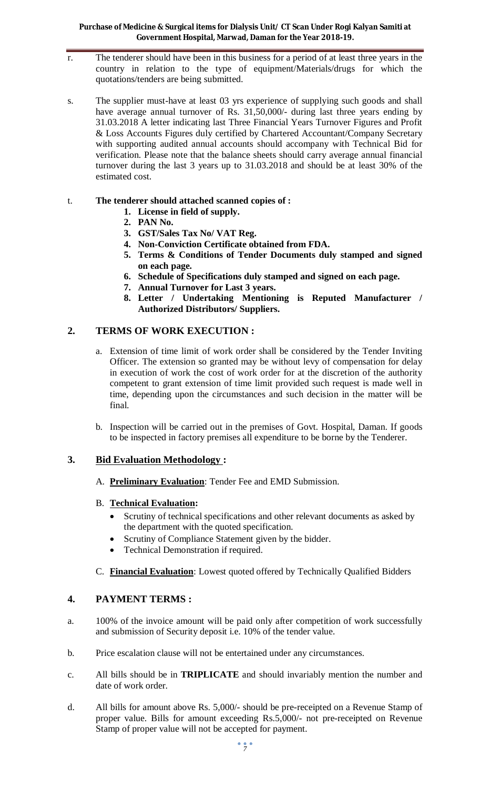- r. The tenderer should have been in this business for a period of at least three years in the country in relation to the type of equipment/Materials/drugs for which the quotations/tenders are being submitted.
- s. The supplier must-have at least 03 yrs experience of supplying such goods and shall have average annual turnover of Rs. 31,50,000/- during last three years ending by 31.03.2018 A letter indicating last Three Financial Years Turnover Figures and Profit & Loss Accounts Figures duly certified by Chartered Accountant/Company Secretary with supporting audited annual accounts should accompany with Technical Bid for verification. Please note that the balance sheets should carry average annual financial turnover during the last 3 years up to 31.03.2018 and should be at least 30% of the estimated cost.

## t. **The tenderer should attached scanned copies of :**

- **1. License in field of supply.**
- **2. PAN No.**
- **3. GST/Sales Tax No/ VAT Reg.**
- **4. Non-Conviction Certificate obtained from FDA.**
- **5. Terms & Conditions of Tender Documents duly stamped and signed on each page.**
- **6. Schedule of Specifications duly stamped and signed on each page.**
- **7. Annual Turnover for Last 3 years.**
- **8. Letter / Undertaking Mentioning is Reputed Manufacturer / Authorized Distributors/ Suppliers.**

## **2. TERMS OF WORK EXECUTION :**

- a. Extension of time limit of work order shall be considered by the Tender Inviting Officer. The extension so granted may be without levy of compensation for delay in execution of work the cost of work order for at the discretion of the authority competent to grant extension of time limit provided such request is made well in time, depending upon the circumstances and such decision in the matter will be final.
- b. Inspection will be carried out in the premises of Govt. Hospital, Daman. If goods to be inspected in factory premises all expenditure to be borne by the Tenderer.

## **3. Bid Evaluation Methodology :**

A. **Preliminary Evaluation**: Tender Fee and EMD Submission.

## B. **Technical Evaluation:**

- Scrutiny of technical specifications and other relevant documents as asked by the department with the quoted specification.
- Scrutiny of Compliance Statement given by the bidder.
- Technical Demonstration if required.
- C. **Financial Evaluation**: Lowest quoted offered by Technically Qualified Bidders

## **4. PAYMENT TERMS :**

- a. 100% of the invoice amount will be paid only after competition of work successfully and submission of Security deposit i.e. 10% of the tender value.
- b. Price escalation clause will not be entertained under any circumstances.
- c. All bills should be in **TRIPLICATE** and should invariably mention the number and date of work order.
- d. All bills for amount above Rs. 5,000/- should be pre-receipted on a Revenue Stamp of proper value. Bills for amount exceeding Rs.5,000/- not pre-receipted on Revenue Stamp of proper value will not be accepted for payment.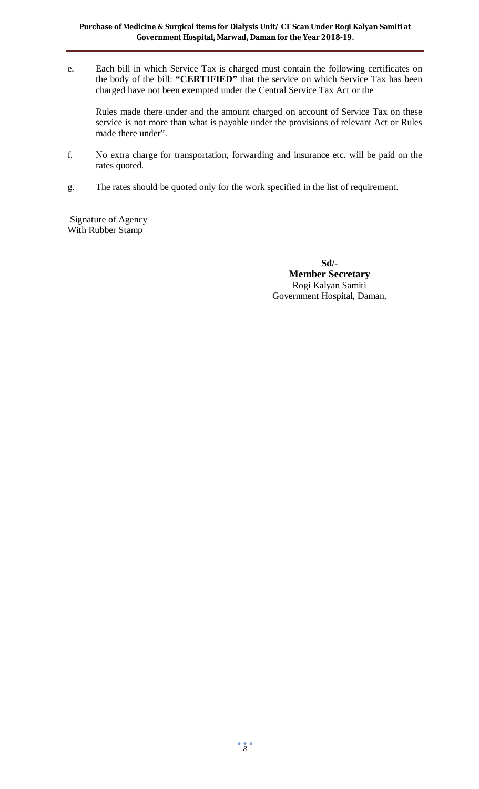e. Each bill in which Service Tax is charged must contain the following certificates on the body of the bill: **"CERTIFIED"** that the service on which Service Tax has been charged have not been exempted under the Central Service Tax Act or the

Rules made there under and the amount charged on account of Service Tax on these service is not more than what is payable under the provisions of relevant Act or Rules made there under".

- f. No extra charge for transportation, forwarding and insurance etc. will be paid on the rates quoted.
- g. The rates should be quoted only for the work specified in the list of requirement.

Signature of Agency With Rubber Stamp

> **Sd/- Member Secretary** Rogi Kalyan Samiti Government Hospital, Daman,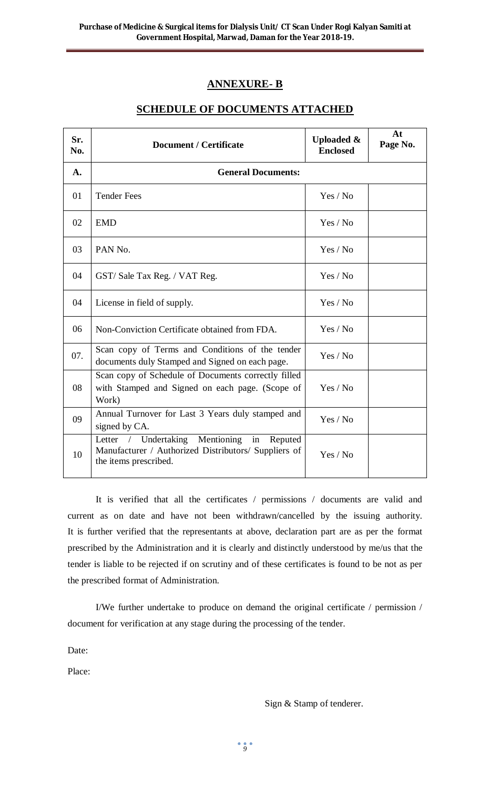# **ANNEXURE- B**

# **SCHEDULE OF DOCUMENTS ATTACHED**

| Sr.<br>No. | <b>Document / Certificate</b>                                                                                                                       | <b>Uploaded &amp;</b><br><b>Enclosed</b> | At<br>Page No. |  |
|------------|-----------------------------------------------------------------------------------------------------------------------------------------------------|------------------------------------------|----------------|--|
| A.         | <b>General Documents:</b>                                                                                                                           |                                          |                |  |
| 01         | <b>Tender Fees</b>                                                                                                                                  | Yes / No                                 |                |  |
| 02         | <b>EMD</b>                                                                                                                                          | Yes / No                                 |                |  |
| 03         | PAN No.                                                                                                                                             | Yes / No                                 |                |  |
| 04         | GST/Sale Tax Reg. / VAT Reg.                                                                                                                        | Yes / No                                 |                |  |
| 04         | License in field of supply.                                                                                                                         | Yes / No                                 |                |  |
| 06         | Non-Conviction Certificate obtained from FDA.                                                                                                       | Yes / No                                 |                |  |
| 07.        | Scan copy of Terms and Conditions of the tender<br>documents duly Stamped and Signed on each page.                                                  | Yes / No                                 |                |  |
| 08         | Scan copy of Schedule of Documents correctly filled<br>with Stamped and Signed on each page. (Scope of<br>Work)                                     | Yes / No                                 |                |  |
| 09         | Annual Turnover for Last 3 Years duly stamped and<br>signed by CA.                                                                                  | Yes / No                                 |                |  |
| 10         | Mentioning<br>Undertaking<br>Letter<br>$\sqrt{2}$<br>in<br>Reputed<br>Manufacturer / Authorized Distributors/ Suppliers of<br>the items prescribed. | Yes / No                                 |                |  |

It is verified that all the certificates / permissions / documents are valid and current as on date and have not been withdrawn/cancelled by the issuing authority. It is further verified that the representants at above, declaration part are as per the format prescribed by the Administration and it is clearly and distinctly understood by me/us that the tender is liable to be rejected if on scrutiny and of these certificates is found to be not as per the prescribed format of Administration.

I/We further undertake to produce on demand the original certificate / permission / document for verification at any stage during the processing of the tender.

Date:

Place:

Sign & Stamp of tenderer.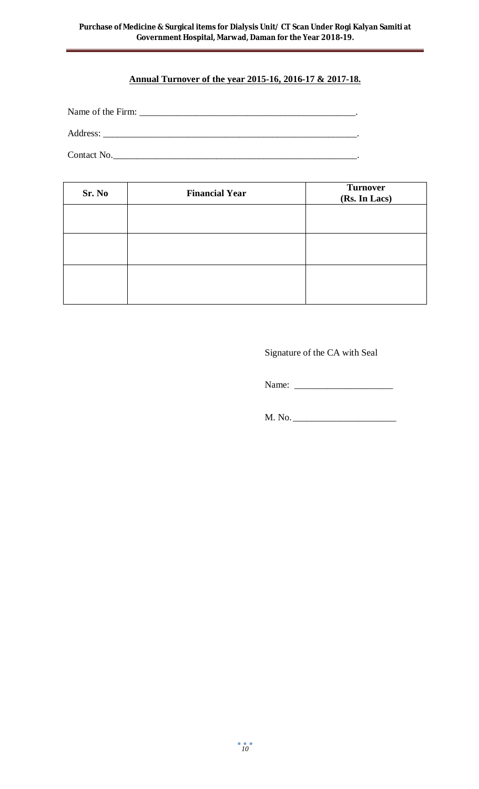## **Annual Turnover of the year 2015-16, 2016-17 & 2017-18.**

Name of the Firm: \_\_\_\_\_\_\_\_\_\_\_\_\_\_\_\_\_\_\_\_\_\_\_\_\_\_\_\_\_\_\_\_\_\_\_\_\_\_\_\_\_\_\_\_\_\_.

Address: \_\_\_\_\_\_\_\_\_\_\_\_\_\_\_\_\_\_\_\_\_\_\_\_\_\_\_\_\_\_\_\_\_\_\_\_\_\_\_\_\_\_\_\_\_\_\_\_\_\_\_\_\_\_.

Contact No.\_\_\_\_\_\_\_\_\_\_\_\_\_\_\_\_\_\_\_\_\_\_\_\_\_\_\_\_\_\_\_\_\_\_\_\_\_\_\_\_\_\_\_\_\_\_\_\_\_\_\_\_.

| Sr. No | <b>Financial Year</b> | <b>Turnover</b><br>(Rs. In Lacs) |
|--------|-----------------------|----------------------------------|
|        |                       |                                  |
|        |                       |                                  |
|        |                       |                                  |
|        |                       |                                  |

Signature of the CA with Seal

Name: \_\_\_\_\_\_\_\_\_\_\_\_\_\_\_\_\_\_\_\_\_

M. No. \_\_\_\_\_\_\_\_\_\_\_\_\_\_\_\_\_\_\_\_\_\_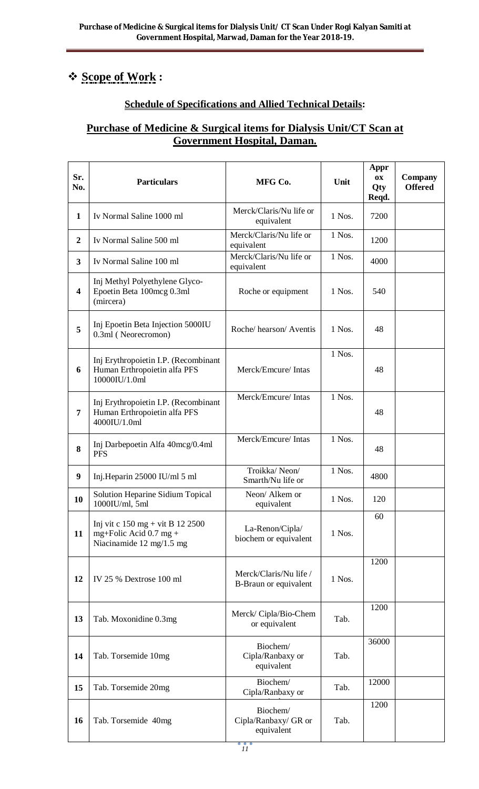# **Scope of Work :**

# **Schedule of Specifications and Allied Technical Details:**

# **Purchase of Medicine & Surgical items for Dialysis Unit/CT Scan at Government Hospital, Daman.**

| Sr.<br>No.              | <b>Particulars</b>                                                                                         | MFG Co.                                         | Unit     | Appr<br><b>OX</b><br>Qty<br>Reqd. | <b>Company</b><br><b>Offered</b> |
|-------------------------|------------------------------------------------------------------------------------------------------------|-------------------------------------------------|----------|-----------------------------------|----------------------------------|
| $\mathbf{1}$            | Iv Normal Saline 1000 ml                                                                                   | Merck/Claris/Nu life or<br>equivalent           | 1 Nos.   | 7200                              |                                  |
| $\boldsymbol{2}$        | Iv Normal Saline 500 ml                                                                                    | Merck/Claris/Nu life or<br>equivalent           | 1 Nos.   | 1200                              |                                  |
| 3                       | Iv Normal Saline 100 ml                                                                                    | Merck/Claris/Nu life or<br>equivalent           | 1 Nos.   | 4000                              |                                  |
| $\overline{\mathbf{4}}$ | Inj Methyl Polyethylene Glyco-<br>Epoetin Beta 100mcg 0.3ml<br>(mircera)                                   | Roche or equipment                              | 1 Nos.   | 540                               |                                  |
| 5                       | Inj Epoetin Beta Injection 5000IU<br>0.3ml (Neorecromon)                                                   | Roche/hearson/Aventis                           | $1$ Nos. | 48                                |                                  |
| 6                       | Inj Erythropoietin I.P. (Recombinant<br>Human Erthropoietin alfa PFS<br>10000IU/1.0ml                      | Merck/Emcure/ Intas                             | 1 Nos.   | 48                                |                                  |
| 7                       | Inj Erythropoietin I.P. (Recombinant<br>Human Erthropoietin alfa PFS<br>4000IU/1.0ml                       | Merck/Emcure/ Intas                             | 1 Nos.   | 48                                |                                  |
| 8                       | Inj Darbepoetin Alfa 40mcg/0.4ml<br><b>PFS</b>                                                             | Merck/Emcure/ Intas                             | 1 Nos.   | 48                                |                                  |
| 9                       | Inj.Heparin 25000 IU/ml 5 ml                                                                               | Troikka/Neon/<br>Smarth/Nu life or              | 1 Nos.   | 4800                              |                                  |
| 10                      | Solution Heparine Sidium Topical<br>1000IU/ml, 5ml                                                         | Neon/ Alkem or<br>equivalent                    | 1 Nos.   | 120                               |                                  |
| 11                      | Inj vit c $150 \text{ mg} + \text{vit } B$ 12 2500<br>mg+Folic Acid $0.7$ mg +<br>Niacinamide 12 mg/1.5 mg | La-Renon/Cipla/<br>biochem or equivalent        | 1 Nos.   | 60                                |                                  |
| 12                      | IV 25 % Dextrose 100 ml                                                                                    | Merck/Claris/Nu life /<br>B-Braun or equivalent | 1 Nos.   | 1200                              |                                  |
| 13                      | Tab. Moxonidine 0.3mg                                                                                      | Merck/ Cipla/Bio-Chem<br>or equivalent          | Tab.     | 1200                              |                                  |
| 14                      | Tab. Torsemide 10mg                                                                                        | Biochem/<br>Cipla/Ranbaxy or<br>equivalent      | Tab.     | 36000                             |                                  |
| 15                      | Tab. Torsemide 20mg                                                                                        | Biochem/<br>Cipla/Ranbaxy or                    | Tab.     | 12000                             |                                  |
| 16                      | Tab. Torsemide 40mg                                                                                        | Biochem/<br>Cipla/Ranbaxy/ GR or<br>equivalent  | Tab.     | 1200                              |                                  |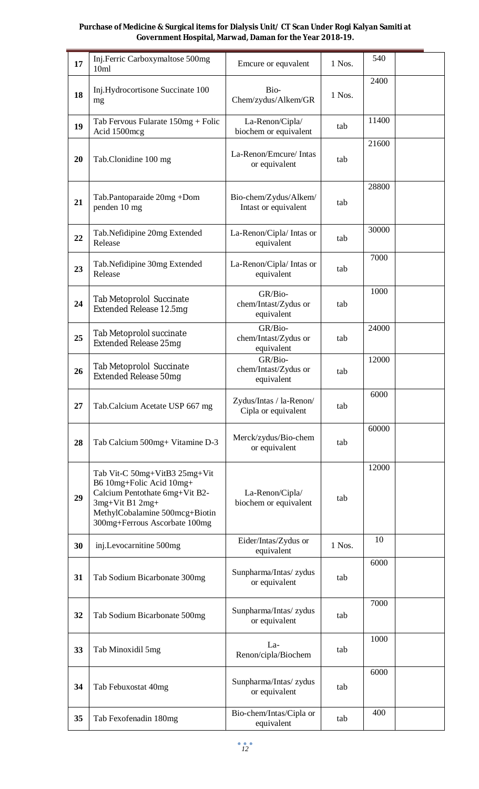| 17 | Inj.Ferric Carboxymaltose 500mg<br>10ml                                                                                                                                           | Emcure or equvalent                            | 1 Nos. | 540   |  |
|----|-----------------------------------------------------------------------------------------------------------------------------------------------------------------------------------|------------------------------------------------|--------|-------|--|
| 18 | Inj.Hydrocortisone Succinate 100<br>mg                                                                                                                                            | Bio-<br>Chem/zydus/Alkem/GR                    | 1 Nos. | 2400  |  |
| 19 | Tab Fervous Fularate 150mg + Folic<br>Acid 1500mcg                                                                                                                                | La-Renon/Cipla/<br>biochem or equivalent       | tab    | 11400 |  |
| 20 | Tab.Clonidine 100 mg                                                                                                                                                              | La-Renon/Emcure/ Intas<br>or equivalent        | tab    | 21600 |  |
| 21 | Tab.Pantoparaide 20mg +Dom<br>penden 10 mg                                                                                                                                        | Bio-chem/Zydus/Alkem/<br>Intast or equivalent  | tab    | 28800 |  |
| 22 | Tab.Nefidipine 20mg Extended<br>Release                                                                                                                                           | La-Renon/Cipla/ Intas or<br>equivalent         | tab    | 30000 |  |
| 23 | Tab.Nefidipine 30mg Extended<br>Release                                                                                                                                           | La-Renon/Cipla/ Intas or<br>equivalent         | tab    | 7000  |  |
| 24 | <b>Tab Metoprolol Succinate</b><br>Extended Release 12.5mg                                                                                                                        | GR/Bio-<br>chem/Intast/Zydus or<br>equivalent  | tab    | 1000  |  |
| 25 | Tab Metoprolol succinate<br><b>Extended Release 25mg</b>                                                                                                                          | GR/Bio-<br>chem/Intast/Zydus or<br>equivalent  | tab    | 24000 |  |
| 26 | <b>Tab Metoprolol Succinate</b><br><b>Extended Release 50mg</b>                                                                                                                   | GR/Bio-<br>chem/Intast/Zydus or<br>equivalent  | tab    | 12000 |  |
| 27 | Tab.Calcium Acetate USP 667 mg                                                                                                                                                    | Zydus/Intas / la-Renon/<br>Cipla or equivalent | tab    | 6000  |  |
| 28 | Tab Calcium 500mg+ Vitamine D-3                                                                                                                                                   | Merck/zydus/Bio-chem<br>or equivalent          | tab    | 60000 |  |
| 29 | Tab Vit-C 50mg+VitB3 25mg+Vit<br>B6 10mg+Folic Acid 10mg+<br>Calcium Pentothate 6mg+Vit B2-<br>3mg+Vit B1 2mg+<br>MethylCobalamine 500mcg+Biotin<br>300mg+Ferrous Ascorbate 100mg | La-Renon/Cipla/<br>biochem or equivalent       | tab    | 12000 |  |
| 30 | inj.Levocarnitine 500mg                                                                                                                                                           | Eider/Intas/Zydus or<br>equivalent             | 1 Nos. | 10    |  |
| 31 | Tab Sodium Bicarbonate 300mg                                                                                                                                                      | Sunpharma/Intas/ zydus<br>or equivalent        | tab    | 6000  |  |
| 32 | Tab Sodium Bicarbonate 500mg                                                                                                                                                      | Sunpharma/Intas/ zydus<br>or equivalent        | tab    | 7000  |  |
| 33 | Tab Minoxidil 5mg                                                                                                                                                                 | La-<br>Renon/cipla/Biochem                     | tab    | 1000  |  |
| 34 | Tab Febuxostat 40mg                                                                                                                                                               | Sunpharma/Intas/ zydus<br>or equivalent        | tab    | 6000  |  |
| 35 | Tab Fexofenadin 180mg                                                                                                                                                             | Bio-chem/Intas/Cipla or<br>equivalent          | tab    | 400   |  |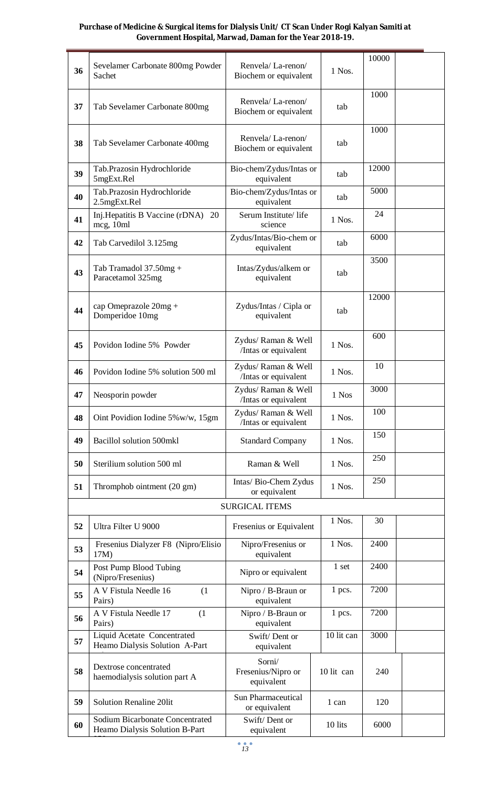|    |                                                                          |                                             |            | 10000 |
|----|--------------------------------------------------------------------------|---------------------------------------------|------------|-------|
| 36 | Sevelamer Carbonate 800mg Powder<br>Sachet                               | Renvela/La-renon/<br>Biochem or equivalent  | 1 Nos.     |       |
| 37 | Tab Sevelamer Carbonate 800mg                                            | Renvela/La-renon/<br>Biochem or equivalent  | tab        | 1000  |
| 38 | Tab Sevelamer Carbonate 400mg                                            | Renvela/La-renon/<br>Biochem or equivalent  | tab        | 1000  |
| 39 | Tab.Prazosin Hydrochloride<br>5mgExt.Rel                                 | Bio-chem/Zydus/Intas or<br>equivalent       | tab        | 12000 |
| 40 | Tab.Prazosin Hydrochloride<br>2.5mgExt.Rel                               | Bio-chem/Zydus/Intas or<br>equivalent       | tab        | 5000  |
| 41 | Inj. Hepatitis B Vaccine (rDNA)<br>20<br>mcg, 10ml                       | Serum Institute/life<br>science             | 1 Nos.     | 24    |
| 42 | Tab Carvedilol 3.125mg                                                   | Zydus/Intas/Bio-chem or<br>equivalent       | tab        | 6000  |
| 43 | Tab Tramadol 37.50mg +<br>Paracetamol 325mg                              | Intas/Zydus/alkem or<br>equivalent          | tab        | 3500  |
| 44 | cap Omeprazole 20mg +<br>Domperidoe 10mg                                 | Zydus/Intas / Cipla or<br>equivalent        | tab        | 12000 |
| 45 | Povidon Iodine 5% Powder                                                 | Zydus/ Raman & Well<br>/Intas or equivalent | 1 Nos.     | 600   |
| 46 | Povidon Iodine 5% solution 500 ml                                        | Zydus/ Raman & Well<br>/Intas or equivalent | 1 Nos.     | 10    |
| 47 | Neosporin powder                                                         | Zydus/ Raman & Well<br>/Intas or equivalent | 1 Nos      | 3000  |
| 48 | Oint Povidion Iodine $5\%$ w/w, 15gm                                     | Zydus/ Raman & Well<br>/Intas or equivalent | 1 Nos.     | 100   |
| 49 | Bacillol solution 500mkl                                                 | <b>Standard Company</b>                     | 1 Nos.     | 150   |
| 50 | Sterilium solution 500 ml                                                | Raman & Well                                | 1 Nos.     | 250   |
| 51 | Thromphob ointment (20 gm)                                               | Intas/ Bio-Chem Zydus<br>or equivalent      | 1 Nos.     | 250   |
|    |                                                                          | <b>SURGICAL ITEMS</b>                       |            |       |
| 52 | Ultra Filter U 9000                                                      | Fresenius or Equivalent                     | 1 Nos.     | 30    |
| 53 | Fresenius Dialyzer F8 (Nipro/Elisio<br>17M)                              | Nipro/Fresenius or<br>equivalent            | 1 Nos.     | 2400  |
| 54 | Post Pump Blood Tubing<br>(Nipro/Fresenius)                              | Nipro or equivalent                         | 1 set      | 2400  |
| 55 | A V Fistula Needle 16<br>(1)<br>Pairs)                                   | Nipro / B-Braun or<br>equivalent            | 1 pcs.     | 7200  |
| 56 | A V Fistula Needle 17<br>(1)<br>Pairs)                                   | Nipro / B-Braun or<br>equivalent            | 1 pcs.     | 7200  |
| 57 | Liquid Acetate Concentrated<br>Heamo Dialysis Solution A-Part            | Swift/Dent or<br>equivalent                 | 10 lit can | 3000  |
| 58 | Dextrose concentrated<br>haemodialysis solution part A                   | Sorni/<br>Fresenius/Nipro or<br>equivalent  | 10 lit can | 240   |
| 59 | <b>Solution Renaline 20lit</b>                                           | Sun Pharmaceutical<br>or equivalent         | 1 can      | 120   |
| 60 | <b>Sodium Bicarbonate Concentrated</b><br>Heamo Dialysis Solution B-Part | Swift/Dent or<br>equivalent                 | 10 lits    | 6000  |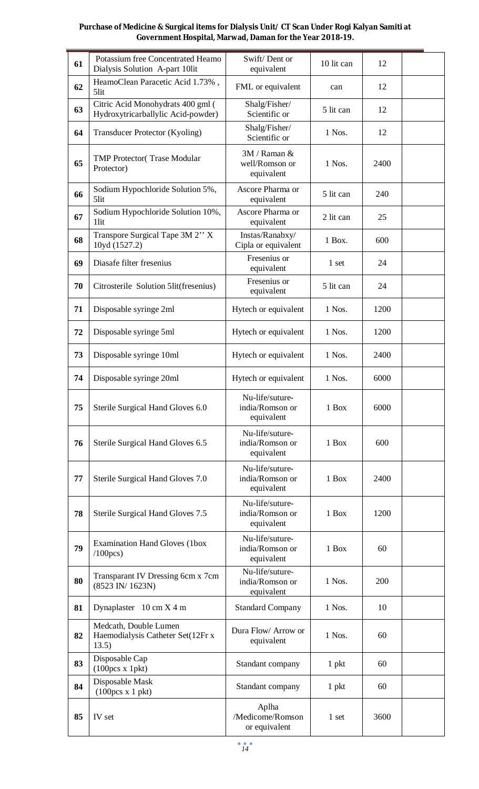| 61 | Potassium free Concentrated Heamo<br>Dialysis Solution A-part 10lit     | Swift/Dent or<br>equivalent                      | 10 lit can | 12   |  |
|----|-------------------------------------------------------------------------|--------------------------------------------------|------------|------|--|
| 62 | HeamoClean Paracetic Acid 1.73%,<br>5lit                                | FML or equivalent                                | can        | 12   |  |
| 63 | Citric Acid Monohydrats 400 gml (<br>Hydroxytricarballylic Acid-powder) | Shalg/Fisher/<br>Scientific or                   | 5 lit can  | 12   |  |
| 64 | Transducer Protector (Kyoling)                                          | Shalg/Fisher/<br>Scientific or                   | 1 Nos.     | 12   |  |
| 65 | <b>TMP Protector</b> (Trase Modular<br>Protector)                       | 3M / Raman &<br>well/Romson or<br>equivalent     | 1 Nos.     | 2400 |  |
| 66 | Sodium Hypochloride Solution 5%,<br>5lit                                | Ascore Pharma or<br>equivalent                   | 5 lit can  | 240  |  |
| 67 | Sodium Hypochloride Solution 10%,<br>1lit                               | Ascore Pharma or<br>equivalent                   | 2 lit can  | 25   |  |
| 68 | Transpore Surgical Tape 3M 2" X<br>10yd (1527.2)                        | Instas/Ranabxy/<br>Cipla or equivalent           | 1 Box.     | 600  |  |
| 69 | Diasafe filter fresenius                                                | Fresenius or<br>equivalent                       | 1 set      | 24   |  |
| 70 | Citrosterile Solution 5lit(fresenius)                                   | Fresenius or<br>equivalent                       | 5 lit can  | 24   |  |
| 71 | Disposable syringe 2ml                                                  | Hytech or equivalent                             | 1 Nos.     | 1200 |  |
| 72 | Disposable syringe 5ml                                                  | Hytech or equivalent                             | 1 Nos.     | 1200 |  |
| 73 | Disposable syringe 10ml                                                 | Hytech or equivalent                             | 1 Nos.     | 2400 |  |
| 74 | Disposable syringe 20ml                                                 | Hytech or equivalent                             | 1 Nos.     | 6000 |  |
| 75 | Sterile Surgical Hand Gloves 6.0                                        | Nu-life/suture-<br>india/Romson or<br>equivalent | 1 Box      | 6000 |  |
| 76 | Sterile Surgical Hand Gloves 6.5                                        | Nu-life/suture-<br>india/Romson or<br>equivalent | 1 Box      | 600  |  |
| 77 | Sterile Surgical Hand Gloves 7.0                                        | Nu-life/suture-<br>india/Romson or<br>equivalent | 1 Box      | 2400 |  |
| 78 | Sterile Surgical Hand Gloves 7.5                                        | Nu-life/suture-<br>india/Romson or<br>equivalent | 1 Box      | 1200 |  |
| 79 | <b>Examination Hand Gloves (1box</b><br>$/100$ pcs)                     | Nu-life/suture-<br>india/Romson or<br>equivalent | 1 Box      | 60   |  |
| 80 | Transparant IV Dressing 6cm x 7cm<br>(8523 IN/1623N)                    | Nu-life/suture-<br>india/Romson or<br>equivalent | 1 Nos.     | 200  |  |
| 81 | Dynaplaster $10 \text{ cm} X 4 \text{ m}$                               | <b>Standard Company</b>                          | 1 Nos.     | 10   |  |
| 82 | Medcath, Double Lumen<br>Haemodialysis Catheter Set(12Fr x<br>13.5)     | Dura Flow/ Arrow or<br>equivalent                | 1 Nos.     | 60   |  |
| 83 | Disposable Cap<br>(100pcs x 1pk)                                        | Standant company                                 | $1$ pkt    | 60   |  |
| 84 | Disposable Mask<br>(100pcs x 1 pkt)                                     | Standant company                                 | $1$ pkt    | 60   |  |
| 85 | IV set                                                                  | Aplha<br>/Medicome/Romson<br>or equivalent       | 1 set      | 3600 |  |